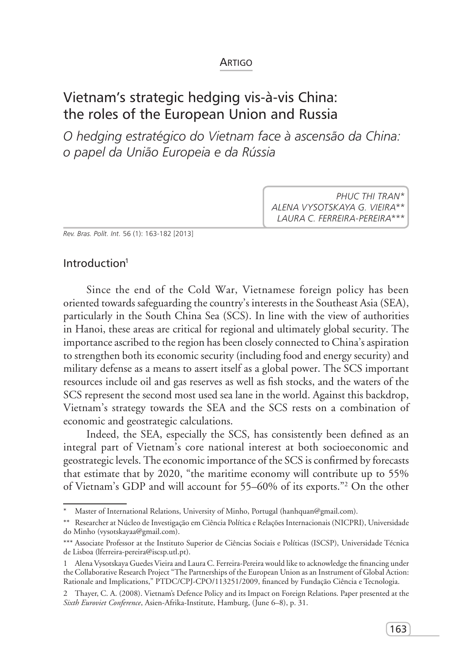#### Artigo

# Vietnam's strategic hedging vis-à-vis China: the roles of the European Union and Russia

*O hedging estratégico do Vietnam face à ascensão da China: o papel da União Europeia e da Rússia*

> *Phuc Thi Tran\* Alena Vysotskaya G. Vieira\*\* Laura C. Ferreira-Pereira\*\*\**

*Rev. Bras. Polít. Int.* 56 (1): 163-182 [2013]

#### Introduction1

Since the end of the Cold War, Vietnamese foreign policy has been oriented towards safeguarding the country's interests in the Southeast Asia (SEA), particularly in the South China Sea (SCS). In line with the view of authorities in Hanoi, these areas are critical for regional and ultimately global security. The importance ascribed to the region has been closely connected to China's aspiration to strengthen both its economic security (including food and energy security) and military defense as a means to assert itself as a global power. The SCS important resources include oil and gas reserves as well as fish stocks, and the waters of the SCS represent the second most used sea lane in the world. Against this backdrop, Vietnam's strategy towards the SEA and the SCS rests on a combination of economic and geostrategic calculations.

Indeed, the SEA, especially the SCS, has consistently been defined as an integral part of Vietnam's core national interest at both socioeconomic and geostrategic levels. The economic importance of the SCS is confirmed by forecasts that estimate that by 2020, "the maritime economy will contribute up to 55% of Vietnam's GDP and will account for 55–60% of its exports."2 On the other

Master of International Relations, University of Minho, Portugal (hanhquan@gmail.com).

<sup>\*\*</sup> Researcher at Núcleo de Investigação em Ciência Política e Relações Internacionais (NICPRI), Universidade do Minho (vysotskayaa@gmail.com).

<sup>\*\*\*</sup> Associate Professor at the Instituto Superior de Ciências Sociais e Políticas (ISCSP), Universidade Técnica de Lisboa (lferreira-pereira@iscsp.utl.pt).

<sup>1</sup> Alena Vysotskaya Guedes Vieira and Laura C. Ferreira-Pereira would like to acknowledge the financing under the Collaborative Research Project "The Partnerships of the European Union as an Instrument of Global Action: Rationale and Implications," PTDC/CPJ-CPO/113251/2009, financed by Fundação Ciência e Tecnologia.

<sup>2</sup> Thayer, C. A. (2008). Vietnam's Defence Policy and its Impact on Foreign Relations. Paper presented at the *Sixth Euroviet Conference*, Asien-Afrika-Institute, Hamburg, (June 6–8), p. 31.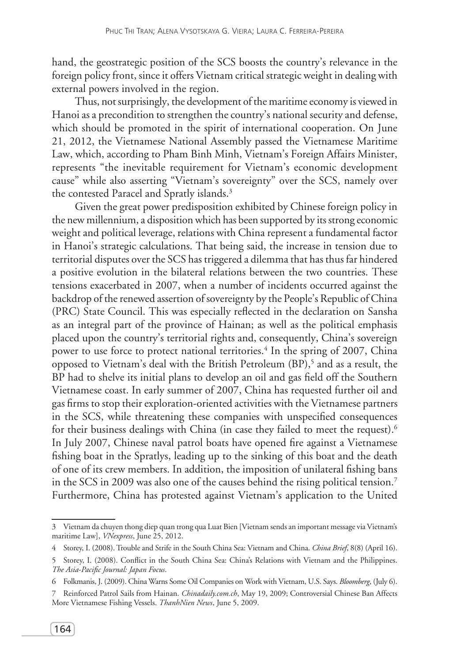hand, the geostrategic position of the SCS boosts the country's relevance in the foreign policy front, since it offers Vietnam critical strategic weight in dealing with external powers involved in the region.

Thus, not surprisingly, the development of the maritime economy is viewed in Hanoi as a precondition to strengthen the country's national security and defense, which should be promoted in the spirit of international cooperation. On June 21, 2012, the Vietnamese National Assembly passed the Vietnamese Maritime Law, which, according to Pham Binh Minh, Vietnam's Foreign Affairs Minister, represents "the inevitable requirement for Vietnam's economic development cause" while also asserting "Vietnam's sovereignty" over the SCS, namely over the contested Paracel and Spratly islands.<sup>3</sup>

Given the great power predisposition exhibited by Chinese foreign policy in the new millennium, a disposition which has been supported by its strong economic weight and political leverage, relations with China represent a fundamental factor in Hanoi's strategic calculations. That being said, the increase in tension due to territorial disputes over the SCS has triggered a dilemma that has thus far hindered a positive evolution in the bilateral relations between the two countries. These tensions exacerbated in 2007, when a number of incidents occurred against the backdrop of the renewed assertion of sovereignty by the People's Republic of China (PRC) State Council. This was especially reflected in the declaration on Sansha as an integral part of the province of Hainan; as well as the political emphasis placed upon the country's territorial rights and, consequently, China's sovereign power to use force to protect national territories.<sup>4</sup> In the spring of 2007, China opposed to Vietnam's deal with the British Petroleum (BP),<sup>5</sup> and as a result, the BP had to shelve its initial plans to develop an oil and gas field off the Southern Vietnamese coast. In early summer of 2007, China has requested further oil and gas firms to stop their exploration-oriented activities with the Vietnamese partners in the SCS, while threatening these companies with unspecified consequences for their business dealings with China (in case they failed to meet the request).<sup>6</sup> In July 2007, Chinese naval patrol boats have opened fire against a Vietnamese fishing boat in the Spratlys, leading up to the sinking of this boat and the death of one of its crew members. In addition, the imposition of unilateral fishing bans in the SCS in 2009 was also one of the causes behind the rising political tension.7 Furthermore, China has protested against Vietnam's application to the United

<sup>3</sup> Vietnam da chuyen thong diep quan trong qua Luat Bien [Vietnam sends an important message via Vietnam's maritime Law], *VNexpress*, June 25, 2012.

<sup>4</sup> Storey, I. (2008). Trouble and Strife in the South China Sea: Vietnam and China. *China Brief*, 8(8) (April 16).

<sup>5</sup> Storey, I. (2008). Conflict in the South China Sea: China's Relations with Vietnam and the Philippines. *The Asia-Pacific Journal: Japan Focus*.

<sup>6</sup> Folkmanis, J. (2009). China Warns Some Oil Companies on Work with Vietnam, U.S. Says. *Bloomberg*, (July 6).

<sup>7</sup> Reinforced Patrol Sails from Hainan. *Chinadaily.com.ch*, May 19, 2009; Controversial Chinese Ban Affects More Vietnamese Fishing Vessels. *ThanhNien News*, June 5, 2009.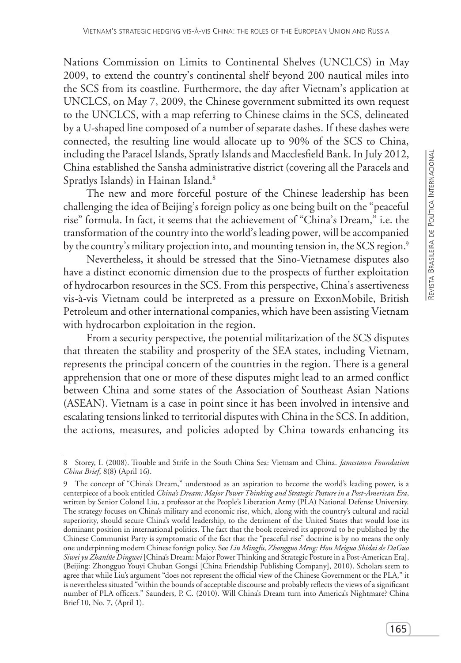Nations Commission on Limits to Continental Shelves (UNCLCS) in May 2009, to extend the country's continental shelf beyond 200 nautical miles into the SCS from its coastline. Furthermore, the day after Vietnam's application at UNCLCS, on May 7, 2009, the Chinese government submitted its own request to the UNCLCS, with a map referring to Chinese claims in the SCS, delineated by a U-shaped line composed of a number of separate dashes. If these dashes were connected, the resulting line would allocate up to 90% of the SCS to China, including the Paracel Islands, Spratly Islands and Macclesfield Bank. In July 2012, China established the Sansha administrative district (covering all the Paracels and Spratlys Islands) in Hainan Island.8

The new and more forceful posture of the Chinese leadership has been challenging the idea of Beijing's foreign policy as one being built on the "peaceful rise" formula. In fact, it seems that the achievement of "China's Dream," i.e. the transformation of the country into the world's leading power, will be accompanied by the country's military projection into, and mounting tension in, the SCS region.<sup>9</sup>

Nevertheless, it should be stressed that the Sino-Vietnamese disputes also have a distinct economic dimension due to the prospects of further exploitation of hydrocarbon resources in the SCS. From this perspective, China's assertiveness vis-à-vis Vietnam could be interpreted as a pressure on ExxonMobile, British Petroleum and other international companies, which have been assisting Vietnam with hydrocarbon exploitation in the region.

From a security perspective, the potential militarization of the SCS disputes that threaten the stability and prosperity of the SEA states, including Vietnam, represents the principal concern of the countries in the region. There is a general apprehension that one or more of these disputes might lead to an armed conflict between China and some states of the Association of Southeast Asian Nations (ASEAN). Vietnam is a case in point since it has been involved in intensive and escalating tensions linked to territorial disputes with China in the SCS. In addition, the actions, measures, and policies adopted by China towards enhancing its

<sup>8</sup> Storey, I. (2008). Trouble and Strife in the South China Sea: Vietnam and China. *Jamestown Foundation China Brief*, 8(8) (April 16).

<sup>9</sup> The concept of "China's Dream," understood as an aspiration to become the world's leading power, is a centerpiece of a book entitled *China's Dream: Major Power Thinking and Strategic Posture in a Post-American Era*, written by Senior Colonel Liu, a professor at the People's Liberation Army (PLA) National Defense University. The strategy focuses on China's military and economic rise, which, along with the country's cultural and racial superiority, should secure China's world leadership, to the detriment of the United States that would lose its dominant position in international politics. The fact that the book received its approval to be published by the Chinese Communist Party is symptomatic of the fact that the "peaceful rise" doctrine is by no means the only one underpinning modern Chinese foreign policy. See *Liu Mingfu, Zhongguo Meng: Hou Meiguo Shidai de DaGuo Siwei yu Zhanlüe Dingwei* [China's Dream: Major Power Thinking and Strategic Posture in a Post-American Era], (Beijing: Zhongguo Youyi Chuban Gongsi [China Friendship Publishing Company], 2010). Scholars seem to agree that while Liu's argument "does not represent the official view of the Chinese Government or the PLA," it is nevertheless situated "within the bounds of acceptable discourse and probably reflects the views of a significant number of PLA officers." Saunders, P. C. (2010). Will China's Dream turn into America's Nightmare? China Brief 10, No. 7, (April 1).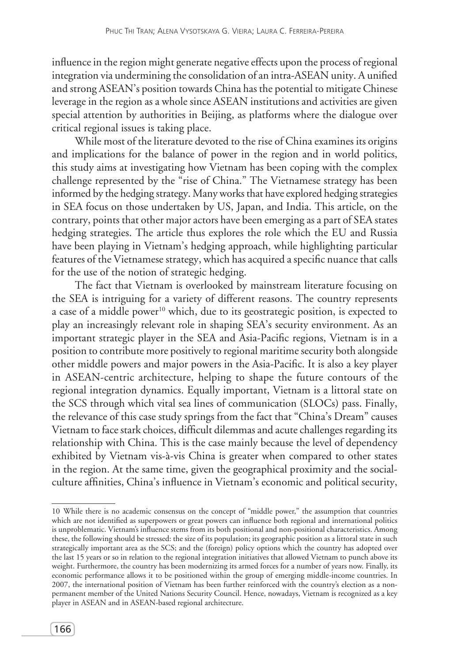influence in the region might generate negative effects upon the process of regional integration via undermining the consolidation of an intra-ASEAN unity. A unified and strong ASEAN's position towards China has the potential to mitigate Chinese leverage in the region as a whole since ASEAN institutions and activities are given special attention by authorities in Beijing, as platforms where the dialogue over critical regional issues is taking place.

While most of the literature devoted to the rise of China examines its origins and implications for the balance of power in the region and in world politics, this study aims at investigating how Vietnam has been coping with the complex challenge represented by the "rise of China." The Vietnamese strategy has been informed by the hedging strategy. Many works that have explored hedging strategies in SEA focus on those undertaken by US, Japan, and India. This article, on the contrary, points that other major actors have been emerging as a part of SEA states hedging strategies. The article thus explores the role which the EU and Russia have been playing in Vietnam's hedging approach, while highlighting particular features of the Vietnamese strategy, which has acquired a specific nuance that calls for the use of the notion of strategic hedging.

The fact that Vietnam is overlooked by mainstream literature focusing on the SEA is intriguing for a variety of different reasons. The country represents a case of a middle power<sup>10</sup> which, due to its geostrategic position, is expected to play an increasingly relevant role in shaping SEA's security environment. As an important strategic player in the SEA and Asia-Pacific regions, Vietnam is in a position to contribute more positively to regional maritime security both alongside other middle powers and major powers in the Asia-Pacific. It is also a key player in ASEAN-centric architecture, helping to shape the future contours of the regional integration dynamics. Equally important, Vietnam is a littoral state on the SCS through which vital sea lines of communication (SLOCs) pass. Finally, the relevance of this case study springs from the fact that "China's Dream" causes Vietnam to face stark choices, difficult dilemmas and acute challenges regarding its relationship with China. This is the case mainly because the level of dependency exhibited by Vietnam vis-à-vis China is greater when compared to other states in the region. At the same time, given the geographical proximity and the socialculture affinities, China's influence in Vietnam's economic and political security,

<sup>10</sup> While there is no academic consensus on the concept of "middle power," the assumption that countries which are not identified as superpowers or great powers can influence both regional and international politics is unproblematic. Vietnam's influence stems from its both positional and non-positional characteristics. Among these, the following should be stressed: the size of its population; its geographic position as a littoral state in such strategically important area as the SCS; and the (foreign) policy options which the country has adopted over the last 15 years or so in relation to the regional integration initiatives that allowed Vietnam to punch above its weight. Furthermore, the country has been modernizing its armed forces for a number of years now. Finally, its economic performance allows it to be positioned within the group of emerging middle-income countries. In 2007, the international position of Vietnam has been further reinforced with the country's election as a nonpermanent member of the United Nations Security Council. Hence, nowadays, Vietnam is recognized as a key player in ASEAN and in ASEAN-based regional architecture.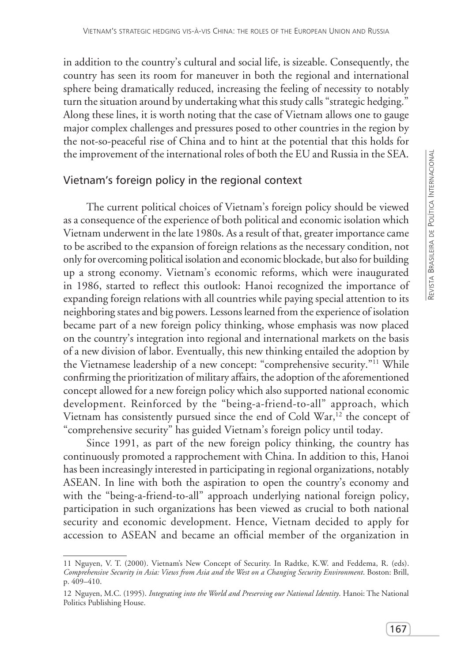in addition to the country's cultural and social life, is sizeable. Consequently, the country has seen its room for maneuver in both the regional and international sphere being dramatically reduced, increasing the feeling of necessity to notably turn the situation around by undertaking what this study calls "strategic hedging." Along these lines, it is worth noting that the case of Vietnam allows one to gauge major complex challenges and pressures posed to other countries in the region by the not-so-peaceful rise of China and to hint at the potential that this holds for the improvement of the international roles of both the EU and Russia in the SEA.

## Vietnam's foreign policy in the regional context

The current political choices of Vietnam's foreign policy should be viewed as a consequence of the experience of both political and economic isolation which Vietnam underwent in the late 1980s. As a result of that, greater importance came to be ascribed to the expansion of foreign relations as the necessary condition, not only for overcoming political isolation and economic blockade, but also for building up a strong economy. Vietnam's economic reforms, which were inaugurated in 1986, started to reflect this outlook: Hanoi recognized the importance of expanding foreign relations with all countries while paying special attention to its neighboring states and big powers. Lessons learned from the experience of isolation became part of a new foreign policy thinking, whose emphasis was now placed on the country's integration into regional and international markets on the basis of a new division of labor. Eventually, this new thinking entailed the adoption by the Vietnamese leadership of a new concept: "comprehensive security."11 While confirming the prioritization of military affairs, the adoption of the aforementioned concept allowed for a new foreign policy which also supported national economic development. Reinforced by the "being-a-friend-to-all" approach, which Vietnam has consistently pursued since the end of Cold War,<sup>12</sup> the concept of "comprehensive security" has guided Vietnam's foreign policy until today.

Since 1991, as part of the new foreign policy thinking, the country has continuously promoted a rapprochement with China. In addition to this, Hanoi has been increasingly interested in participating in regional organizations, notably ASEAN. In line with both the aspiration to open the country's economy and with the "being-a-friend-to-all" approach underlying national foreign policy, participation in such organizations has been viewed as crucial to both national security and economic development. Hence, Vietnam decided to apply for accession to ASEAN and became an official member of the organization in

<sup>11</sup> Nguyen, V. T. (2000). Vietnam's New Concept of Security. In Radtke, K.W. and Feddema, R. (eds). *Comprehensive Security in Asia: Views from Asia and the West on a Changing Security Environment*. Boston: Brill, p. 409–410.

<sup>12</sup> Nguyen, M.C. (1995). *Integrating into the World and Preserving our National Identity*. Hanoi: The National Politics Publishing House.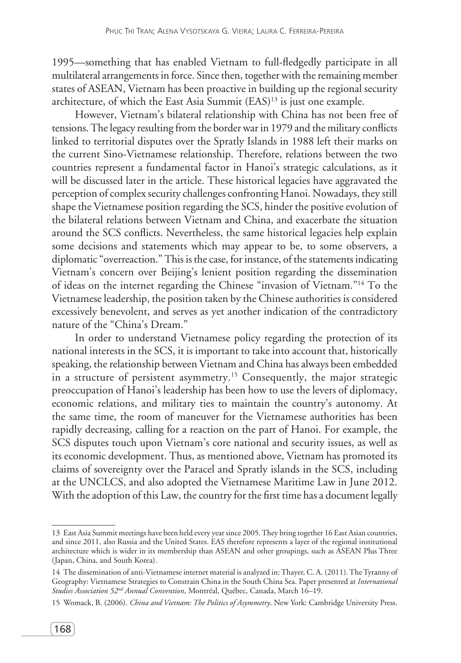1995—something that has enabled Vietnam to full-fledgedly participate in all multilateral arrangements in force. Since then, together with the remaining member states of ASEAN, Vietnam has been proactive in building up the regional security architecture, of which the East Asia Summit (EAS)<sup>13</sup> is just one example.

However, Vietnam's bilateral relationship with China has not been free of tensions. The legacy resulting from the border war in 1979 and the military conflicts linked to territorial disputes over the Spratly Islands in 1988 left their marks on the current Sino-Vietnamese relationship. Therefore, relations between the two countries represent a fundamental factor in Hanoi's strategic calculations, as it will be discussed later in the article. These historical legacies have aggravated the perception of complex security challenges confronting Hanoi. Nowadays, they still shape the Vietnamese position regarding the SCS, hinder the positive evolution of the bilateral relations between Vietnam and China, and exacerbate the situation around the SCS conflicts. Nevertheless, the same historical legacies help explain some decisions and statements which may appear to be, to some observers, a diplomatic "overreaction." This is the case, for instance, of the statements indicating Vietnam's concern over Beijing's lenient position regarding the dissemination of ideas on the internet regarding the Chinese "invasion of Vietnam."14 To the Vietnamese leadership, the position taken by the Chinese authorities is considered excessively benevolent, and serves as yet another indication of the contradictory nature of the "China's Dream."

In order to understand Vietnamese policy regarding the protection of its national interests in the SCS, it is important to take into account that, historically speaking, the relationship between Vietnam and China has always been embedded in a structure of persistent asymmetry.<sup>15</sup> Consequently, the major strategic preoccupation of Hanoi's leadership has been how to use the levers of diplomacy, economic relations, and military ties to maintain the country's autonomy. At the same time, the room of maneuver for the Vietnamese authorities has been rapidly decreasing, calling for a reaction on the part of Hanoi. For example, the SCS disputes touch upon Vietnam's core national and security issues, as well as its economic development. Thus, as mentioned above, Vietnam has promoted its claims of sovereignty over the Paracel and Spratly islands in the SCS, including at the UNCLCS, and also adopted the Vietnamese Maritime Law in June 2012. With the adoption of this Law, the country for the first time has a document legally

<sup>13</sup> East Asia Summit meetings have been held every year since 2005. They bring together 16 East Asian countries, and since 2011, also Russia and the United States. EAS therefore represents a layer of the regional institutional architecture which is wider in its membership than ASEAN and other groupings, such as ASEAN Plus Three (Japan, China, and South Korea).

<sup>14</sup> The dissemination of anti-Vietnamese internet material is analyzed in: Thayer, C. A. (2011). The Tyranny of Geography: Vietnamese Strategies to Constrain China in the South China Sea. Paper presented at *International Studies Association 52nd Annual Convention*, Montréal, Québec, Canada, March 16–19.

<sup>15</sup> Womack, B. (2006). *China and Vietnam: The Politics of Asymmetry*. New York: Cambridge University Press.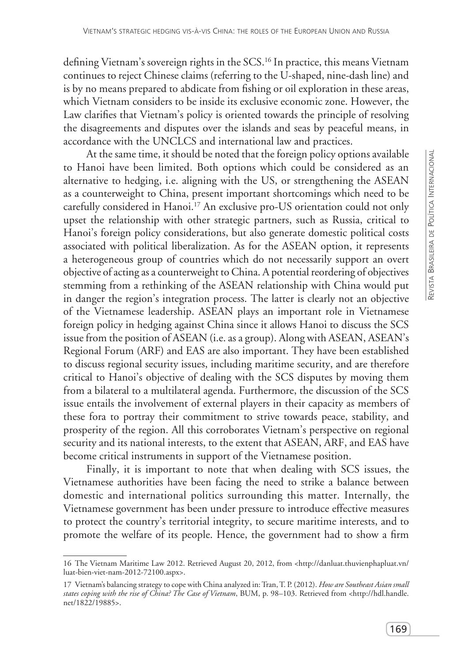defining Vietnam's sovereign rights in the SCS.16 In practice, this means Vietnam continues to reject Chinese claims (referring to the U-shaped, nine-dash line) and is by no means prepared to abdicate from fishing or oil exploration in these areas, which Vietnam considers to be inside its exclusive economic zone. However, the Law clarifies that Vietnam's policy is oriented towards the principle of resolving the disagreements and disputes over the islands and seas by peaceful means, in accordance with the UNCLCS and international law and practices.

At the same time, it should be noted that the foreign policy options available to Hanoi have been limited. Both options which could be considered as an alternative to hedging, i.e. aligning with the US, or strengthening the ASEAN as a counterweight to China, present important shortcomings which need to be carefully considered in Hanoi.<sup>17</sup> An exclusive pro-US orientation could not only upset the relationship with other strategic partners, such as Russia, critical to Hanoi's foreign policy considerations, but also generate domestic political costs associated with political liberalization. As for the ASEAN option, it represents a heterogeneous group of countries which do not necessarily support an overt objective of acting as a counterweight to China. A potential reordering of objectives stemming from a rethinking of the ASEAN relationship with China would put in danger the region's integration process. The latter is clearly not an objective of the Vietnamese leadership. ASEAN plays an important role in Vietnamese foreign policy in hedging against China since it allows Hanoi to discuss the SCS issue from the position of ASEAN (i.e. as a group). Along with ASEAN, ASEAN's Regional Forum (ARF) and EAS are also important. They have been established to discuss regional security issues, including maritime security, and are therefore critical to Hanoi's objective of dealing with the SCS disputes by moving them from a bilateral to a multilateral agenda. Furthermore, the discussion of the SCS issue entails the involvement of external players in their capacity as members of these fora to portray their commitment to strive towards peace, stability, and prosperity of the region. All this corroborates Vietnam's perspective on regional security and its national interests, to the extent that ASEAN, ARF, and EAS have become critical instruments in support of the Vietnamese position.

Finally, it is important to note that when dealing with SCS issues, the Vietnamese authorities have been facing the need to strike a balance between domestic and international politics surrounding this matter. Internally, the Vietnamese government has been under pressure to introduce effective measures to protect the country's territorial integrity, to secure maritime interests, and to promote the welfare of its people. Hence, the government had to show a firm

<sup>16</sup> The Vietnam Maritime Law 2012. Retrieved August 20, 2012, from <http://danluat.thuvienphapluat.vn/ luat-bien-viet-nam-2012-72100.aspx>.

<sup>17</sup> Vietnam's balancing strategy to cope with China analyzed in: Tran, T. P. (2012). *How are Southeast Asian small*  states coping with the rise of China? The Case of Vietnam, BUM, p. 98-103. Retrieved from <http://hdl.handle. net/1822/19885>.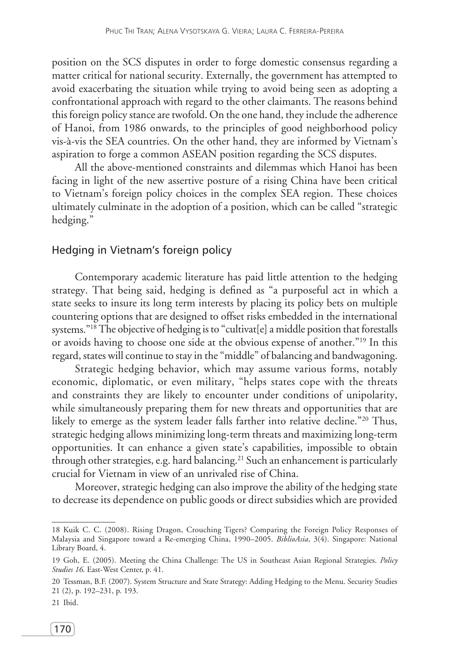position on the SCS disputes in order to forge domestic consensus regarding a matter critical for national security. Externally, the government has attempted to avoid exacerbating the situation while trying to avoid being seen as adopting a confrontational approach with regard to the other claimants. The reasons behind this foreign policy stance are twofold. On the one hand, they include the adherence of Hanoi, from 1986 onwards, to the principles of good neighborhood policy vis-à-vis the SEA countries. On the other hand, they are informed by Vietnam's aspiration to forge a common ASEAN position regarding the SCS disputes.

All the above-mentioned constraints and dilemmas which Hanoi has been facing in light of the new assertive posture of a rising China have been critical to Vietnam's foreign policy choices in the complex SEA region. These choices ultimately culminate in the adoption of a position, which can be called "strategic hedging."

#### Hedging in Vietnam's foreign policy

Contemporary academic literature has paid little attention to the hedging strategy. That being said, hedging is defined as "a purposeful act in which a state seeks to insure its long term interests by placing its policy bets on multiple countering options that are designed to offset risks embedded in the international systems."18 The objective of hedging is to "cultivat[e] a middle position that forestalls or avoids having to choose one side at the obvious expense of another."19 In this regard, states will continue to stay in the "middle" of balancing and bandwagoning.

Strategic hedging behavior, which may assume various forms, notably economic, diplomatic, or even military, "helps states cope with the threats and constraints they are likely to encounter under conditions of unipolarity, while simultaneously preparing them for new threats and opportunities that are likely to emerge as the system leader falls farther into relative decline."20 Thus, strategic hedging allows minimizing long-term threats and maximizing long-term opportunities. It can enhance a given state's capabilities, impossible to obtain through other strategies, e.g. hard balancing.<sup>21</sup> Such an enhancement is particularly crucial for Vietnam in view of an unrivaled rise of China.

Moreover, strategic hedging can also improve the ability of the hedging state to decrease its dependence on public goods or direct subsidies which are provided

<sup>18</sup> Kuik C. C. (2008). Rising Dragon, Crouching Tigers? Comparing the Foreign Policy Responses of Malaysia and Singapore toward a Re-emerging China, 1990–2005. *BiblioAsia*, 3(4). Singapore: National Library Board, 4.

<sup>19</sup> Goh, E. (2005). Meeting the China Challenge: The US in Southeast Asian Regional Strategies. *Policy Studies 16*. East-West Center, p. 41.

<sup>20</sup> Tessman, B.F. (2007). System Structure and State Strategy: Adding Hedging to the Menu. Security Studies 21 (2), p. 192–231, p. 193.

<sup>21</sup> Ibid.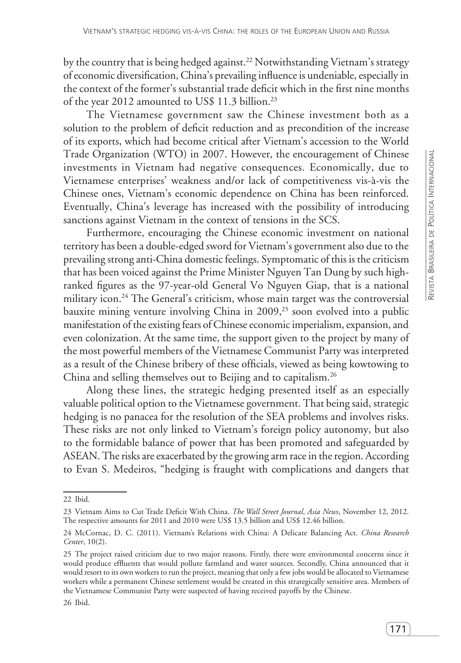by the country that is being hedged against.<sup>22</sup> Notwithstanding Vietnam's strategy of economic diversification, China's prevailing influence is undeniable, especially in the context of the former's substantial trade deficit which in the first nine months of the year 2012 amounted to US\$ 11.3 billion.<sup>23</sup>

The Vietnamese government saw the Chinese investment both as a solution to the problem of deficit reduction and as precondition of the increase of its exports, which had become critical after Vietnam's accession to the World Trade Organization (WTO) in 2007. However, the encouragement of Chinese investments in Vietnam had negative consequences. Economically, due to Vietnamese enterprises' weakness and/or lack of competitiveness vis-à-vis the Chinese ones, Vietnam's economic dependence on China has been reinforced. Eventually, China's leverage has increased with the possibility of introducing sanctions against Vietnam in the context of tensions in the SCS.

Furthermore, encouraging the Chinese economic investment on national territory has been a double-edged sword for Vietnam's government also due to the prevailing strong anti-China domestic feelings. Symptomatic of this is the criticism that has been voiced against the Prime Minister Nguyen Tan Dung by such highranked figures as the 97-year-old General Vo Nguyen Giap, that is a national military icon.24 The General's criticism, whose main target was the controversial bauxite mining venture involving China in 2009,<sup>25</sup> soon evolved into a public manifestation of the existing fears of Chinese economic imperialism, expansion, and even colonization. At the same time, the support given to the project by many of the most powerful members of the Vietnamese Communist Party was interpreted as a result of the Chinese bribery of these officials, viewed as being kowtowing to China and selling themselves out to Beijing and to capitalism.26

Along these lines, the strategic hedging presented itself as an especially valuable political option to the Vietnamese government. That being said, strategic hedging is no panacea for the resolution of the SEA problems and involves risks. These risks are not only linked to Vietnam's foreign policy autonomy, but also to the formidable balance of power that has been promoted and safeguarded by ASEAN. The risks are exacerbated by the growing arm race in the region. According to Evan S. Medeiros, "hedging is fraught with complications and dangers that

<sup>22</sup> Ibid.

<sup>23</sup> Vietnam Aims to Cut Trade Deficit With China. *The Wall Street Journal*, *Asia News*, November 12, 2012. The respective amounts for 2011 and 2010 were US\$ 13.5 billion and US\$ 12.46 billion.

<sup>24</sup> McCornac, D. C. (2011). Vietnam's Relations with China: A Delicate Balancing Act. *China Research Center*, 10(2).

<sup>25</sup> The project raised criticism due to two major reasons. Firstly, there were environmental concerns since it would produce effluents that would pollute farmland and water sources. Secondly, China announced that it would resort to its own workers to run the project, meaning that only a few jobs would be allocated to Vietnamese workers while a permanent Chinese settlement would be created in this strategically sensitive area. Members of the Vietnamese Communist Party were suspected of having received payoffs by the Chinese.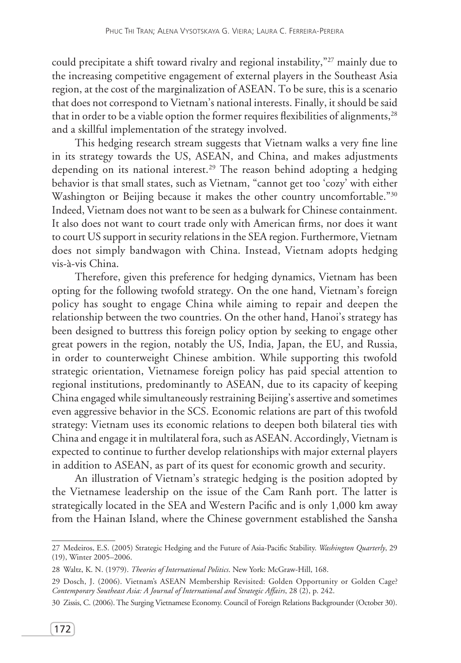could precipitate a shift toward rivalry and regional instability,"27 mainly due to the increasing competitive engagement of external players in the Southeast Asia region, at the cost of the marginalization of ASEAN. To be sure, this is a scenario that does not correspond to Vietnam's national interests. Finally, it should be said that in order to be a viable option the former requires flexibilities of alignments,<sup>28</sup> and a skillful implementation of the strategy involved.

This hedging research stream suggests that Vietnam walks a very fine line in its strategy towards the US, ASEAN, and China, and makes adjustments depending on its national interest.<sup>29</sup> The reason behind adopting a hedging behavior is that small states, such as Vietnam, "cannot get too 'cozy' with either Washington or Beijing because it makes the other country uncomfortable."<sup>30</sup> Indeed, Vietnam does not want to be seen as a bulwark for Chinese containment. It also does not want to court trade only with American firms, nor does it want to court US support in security relations in the SEA region. Furthermore, Vietnam does not simply bandwagon with China. Instead, Vietnam adopts hedging vis-à-vis China.

Therefore, given this preference for hedging dynamics, Vietnam has been opting for the following twofold strategy. On the one hand, Vietnam's foreign policy has sought to engage China while aiming to repair and deepen the relationship between the two countries. On the other hand, Hanoi's strategy has been designed to buttress this foreign policy option by seeking to engage other great powers in the region, notably the US, India, Japan, the EU, and Russia, in order to counterweight Chinese ambition. While supporting this twofold strategic orientation, Vietnamese foreign policy has paid special attention to regional institutions, predominantly to ASEAN, due to its capacity of keeping China engaged while simultaneously restraining Beijing's assertive and sometimes even aggressive behavior in the SCS. Economic relations are part of this twofold strategy: Vietnam uses its economic relations to deepen both bilateral ties with China and engage it in multilateral fora, such as ASEAN. Accordingly, Vietnam is expected to continue to further develop relationships with major external players in addition to ASEAN, as part of its quest for economic growth and security.

An illustration of Vietnam's strategic hedging is the position adopted by the Vietnamese leadership on the issue of the Cam Ranh port. The latter is strategically located in the SEA and Western Pacific and is only 1,000 km away from the Hainan Island, where the Chinese government established the Sansha

<sup>27</sup> Medeiros, E.S. (2005) Strategic Hedging and the Future of Asia-Pacific Stability. *Washington Quarterly*, 29 (19), Winter 2005–2006.

<sup>28</sup> Waltz, K. N. (1979). *Theories of International Politics*. New York: McGraw-Hill, 168.

<sup>29</sup> Dosch, J. (2006). Vietnam's ASEAN Membership Revisited: Golden Opportunity or Golden Cage? *Contemporary Southeast Asia: A Journal of International and Strategic Affairs*, 28 (2), p. 242.

<sup>30</sup> Zissis, C. (2006). The Surging Vietnamese Economy. Council of Foreign Relations Backgrounder (October 30).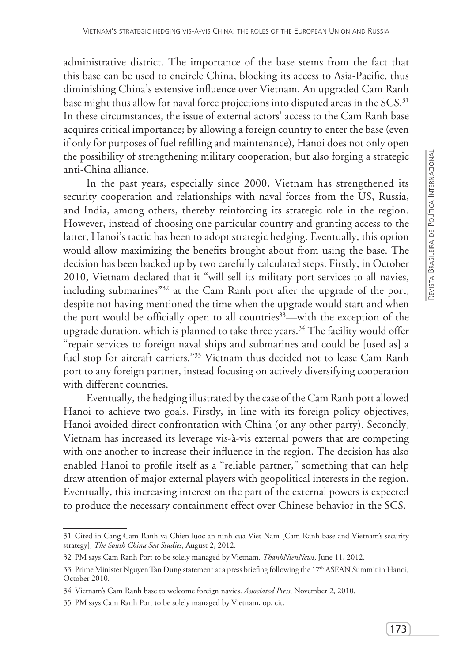administrative district. The importance of the base stems from the fact that this base can be used to encircle China, blocking its access to Asia-Pacific, thus diminishing China's extensive influence over Vietnam. An upgraded Cam Ranh base might thus allow for naval force projections into disputed areas in the SCS.<sup>31</sup> In these circumstances, the issue of external actors' access to the Cam Ranh base acquires critical importance; by allowing a foreign country to enter the base (even if only for purposes of fuel refilling and maintenance), Hanoi does not only open the possibility of strengthening military cooperation, but also forging a strategic anti-China alliance.

In the past years, especially since 2000, Vietnam has strengthened its security cooperation and relationships with naval forces from the US, Russia, and India, among others, thereby reinforcing its strategic role in the region. However, instead of choosing one particular country and granting access to the latter, Hanoi's tactic has been to adopt strategic hedging. Eventually, this option would allow maximizing the benefits brought about from using the base. The decision has been backed up by two carefully calculated steps. Firstly, in October 2010, Vietnam declared that it "will sell its military port services to all navies, including submarines"32 at the Cam Ranh port after the upgrade of the port, despite not having mentioned the time when the upgrade would start and when the port would be officially open to all countries<sup>33</sup>—with the exception of the upgrade duration, which is planned to take three years.<sup>34</sup> The facility would offer "repair services to foreign naval ships and submarines and could be [used as] a fuel stop for aircraft carriers."35 Vietnam thus decided not to lease Cam Ranh port to any foreign partner, instead focusing on actively diversifying cooperation with different countries.

Eventually, the hedging illustrated by the case of the Cam Ranh port allowed Hanoi to achieve two goals. Firstly, in line with its foreign policy objectives, Hanoi avoided direct confrontation with China (or any other party). Secondly, Vietnam has increased its leverage vis-à-vis external powers that are competing with one another to increase their influence in the region. The decision has also enabled Hanoi to profile itself as a "reliable partner," something that can help draw attention of major external players with geopolitical interests in the region. Eventually, this increasing interest on the part of the external powers is expected to produce the necessary containment effect over Chinese behavior in the SCS.

<sup>31</sup> Cited in Cang Cam Ranh va Chien luoc an ninh cua Viet Nam [Cam Ranh base and Vietnam's security strategy], *The South China Sea Studies*, August 2, 2012.

<sup>32</sup> PM says Cam Ranh Port to be solely managed by Vietnam. *ThanhNienNews*, June 11, 2012.

<sup>33</sup> Prime Minister Nguyen Tan Dung statement at a press briefing following the 17<sup>th</sup> ASEAN Summit in Hanoi, October 2010.

<sup>34</sup> Vietnam's Cam Ranh base to welcome foreign navies. *Associated Press*, November 2, 2010.

<sup>35</sup> PM says Cam Ranh Port to be solely managed by Vietnam, op. cit.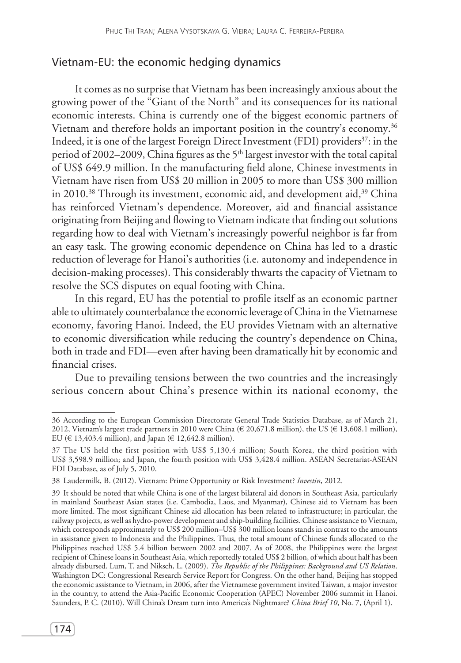## Vietnam-EU: the economic hedging dynamics

It comes as no surprise that Vietnam has been increasingly anxious about the growing power of the "Giant of the North" and its consequences for its national economic interests. China is currently one of the biggest economic partners of Vietnam and therefore holds an important position in the country's economy.36 Indeed, it is one of the largest Foreign Direct Investment (FDI) providers<sup>37</sup>: in the period of 2002–2009, China figures as the 5<sup>th</sup> largest investor with the total capital of US\$ 649.9 million. In the manufacturing field alone, Chinese investments in Vietnam have risen from US\$ 20 million in 2005 to more than US\$ 300 million in 2010.<sup>38</sup> Through its investment, economic aid, and development aid,<sup>39</sup> China has reinforced Vietnam's dependence. Moreover, aid and financial assistance originating from Beijing and flowing to Vietnam indicate that finding out solutions regarding how to deal with Vietnam's increasingly powerful neighbor is far from an easy task. The growing economic dependence on China has led to a drastic reduction of leverage for Hanoi's authorities (i.e. autonomy and independence in decision-making processes). This considerably thwarts the capacity of Vietnam to resolve the SCS disputes on equal footing with China.

In this regard, EU has the potential to profile itself as an economic partner able to ultimately counterbalance the economic leverage of China in the Vietnamese economy, favoring Hanoi. Indeed, the EU provides Vietnam with an alternative to economic diversification while reducing the country's dependence on China, both in trade and FDI—even after having been dramatically hit by economic and financial crises.

Due to prevailing tensions between the two countries and the increasingly serious concern about China's presence within its national economy, the

<sup>36</sup> According to the European Commission Directorate General Trade Statistics Database, as of March 21, 2012, Vietnam's largest trade partners in 2010 were China (€ 20,671.8 million), the US (€ 13,608.1 million), EU ( $\in$  13,403.4 million), and Japan ( $\in$  12,642.8 million).

<sup>37</sup> The US held the first position with US\$ 5,130.4 million; South Korea, the third position with US\$ 3,598.9 million; and Japan, the fourth position with US\$ 3,428.4 million. ASEAN Secretariat-ASEAN FDI Database, as of July 5, 2010.

<sup>38</sup> Laudermilk, B. (2012). Vietnam: Prime Opportunity or Risk Investment? *Investin*, 2012.

<sup>39</sup> It should be noted that while China is one of the largest bilateral aid donors in Southeast Asia, particularly in mainland Southeast Asian states (i.e. Cambodia, Laos, and Myanmar), Chinese aid to Vietnam has been more limited. The most significant Chinese aid allocation has been related to infrastructure; in particular, the railway projects, as well as hydro-power development and ship-building facilities. Chinese assistance to Vietnam, which corresponds approximately to US\$ 200 million–US\$ 300 million loans stands in contrast to the amounts in assistance given to Indonesia and the Philippines. Thus, the total amount of Chinese funds allocated to the Philippines reached US\$ 5.4 billion between 2002 and 2007. As of 2008, the Philippines were the largest recipient of Chinese loans in Southeast Asia, which reportedly totaled US\$ 2 billion, of which about half has been already disbursed. Lum, T. and Niksch, L. (2009). *The Republic of the Philippines: Background and US Relation*. Washington DC: Congressional Research Service Report for Congress. On the other hand, Beijing has stopped the economic assistance to Vietnam, in 2006, after the Vietnamese government invited Taiwan, a major investor in the country, to attend the Asia-Pacific Economic Cooperation (APEC) November 2006 summit in Hanoi. Saunders, P. C. (2010). Will China's Dream turn into America's Nightmare? *China Brief 10*, No. 7, (April 1).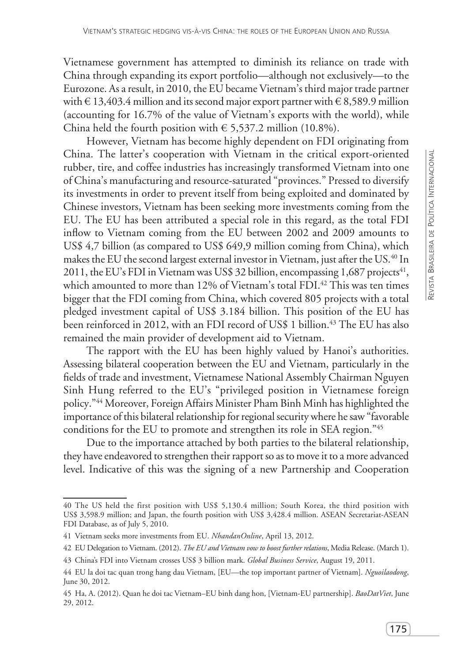Vietnamese government has attempted to diminish its reliance on trade with China through expanding its export portfolio—although not exclusively—to the Eurozone. As a result, in 2010, the EU became Vietnam's third major trade partner with  $\in$  13,403.4 million and its second major export partner with  $\in$  8,589.9 million (accounting for 16.7% of the value of Vietnam's exports with the world), while China held the fourth position with  $\in$  5,537.2 million (10.8%).

However, Vietnam has become highly dependent on FDI originating from China. The latter's cooperation with Vietnam in the critical export-oriented rubber, tire, and coffee industries has increasingly transformed Vietnam into one of China's manufacturing and resource-saturated "provinces." Pressed to diversify its investments in order to prevent itself from being exploited and dominated by Chinese investors, Vietnam has been seeking more investments coming from the EU. The EU has been attributed a special role in this regard, as the total FDI inflow to Vietnam coming from the EU between 2002 and 2009 amounts to US\$ 4,7 billion (as compared to US\$ 649,9 million coming from China), which makes the EU the second largest external investor in Vietnam, just after the US.<sup>40</sup> In 2011, the EU's FDI in Vietnam was US\$ 32 billion, encompassing  $1,687$  projects<sup>41</sup>, which amounted to more than 12% of Vietnam's total  $FDL^{42}$  This was ten times bigger that the FDI coming from China, which covered 805 projects with a total pledged investment capital of US\$ 3.184 billion. This position of the EU has been reinforced in 2012, with an FDI record of US\$ 1 billion.<sup>43</sup> The EU has also remained the main provider of development aid to Vietnam.

The rapport with the EU has been highly valued by Hanoi's authorities. Assessing bilateral cooperation between the EU and Vietnam, particularly in the fields of trade and investment, Vietnamese National Assembly Chairman Nguyen Sinh Hung referred to the EU's "privileged position in Vietnamese foreign policy."44 Moreover, Foreign Affairs Minister Pham Binh Minh has highlighted the importance of this bilateral relationship for regional security where he saw "favorable conditions for the EU to promote and strengthen its role in SEA region."45

Due to the importance attached by both parties to the bilateral relationship, they have endeavored to strengthen their rapport so as to move it to a more advanced level. Indicative of this was the signing of a new Partnership and Cooperation

<sup>40</sup> The US held the first position with US\$ 5,130.4 million; South Korea, the third position with US\$ 3,598.9 million; and Japan, the fourth position with US\$ 3,428.4 million. ASEAN Secretariat-ASEAN FDI Database, as of July 5, 2010.

<sup>41</sup> Vietnam seeks more investments from EU. *NhandanOnline*, April 13, 2012.

<sup>42</sup> EU Delegation to Vietnam. (2012). *The EU and Vietnam vow to boost further relations*, Media Release. (March 1).

<sup>43</sup> China's FDI into Vietnam crosses US\$ 3 billion mark. *Global Business Service*, August 19, 2011.

<sup>44</sup> EU la doi tac quan trong hang dau Vietnam, [EU—the top important partner of Vietnam]. *Nguoilaodong*, June 30, 2012.

<sup>45</sup> Ha, A. (2012). Quan he doi tac Vietnam–EU binh dang hon, [Vietnam-EU partnership]. *BaoDatViet*, June 29, 2012.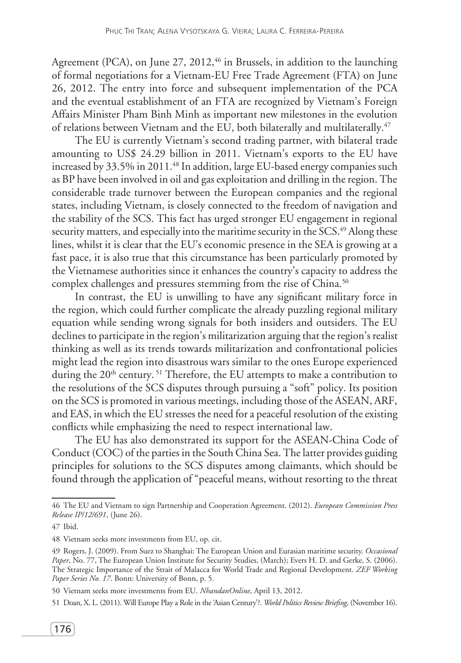Agreement (PCA), on June  $27, 2012, 46$  in Brussels, in addition to the launching of formal negotiations for a Vietnam-EU Free Trade Agreement (FTA) on June 26, 2012. The entry into force and subsequent implementation of the PCA and the eventual establishment of an FTA are recognized by Vietnam's Foreign Affairs Minister Pham Binh Minh as important new milestones in the evolution of relations between Vietnam and the EU, both bilaterally and multilaterally.<sup>47</sup>

The EU is currently Vietnam's second trading partner, with bilateral trade amounting to US\$ 24.29 billion in 2011. Vietnam's exports to the EU have increased by 33.5% in 2011.<sup>48</sup> In addition, large EU-based energy companies such as BP have been involved in oil and gas exploitation and drilling in the region. The considerable trade turnover between the European companies and the regional states, including Vietnam, is closely connected to the freedom of navigation and the stability of the SCS. This fact has urged stronger EU engagement in regional security matters, and especially into the maritime security in the SCS.<sup>49</sup> Along these lines, whilst it is clear that the EU's economic presence in the SEA is growing at a fast pace, it is also true that this circumstance has been particularly promoted by the Vietnamese authorities since it enhances the country's capacity to address the complex challenges and pressures stemming from the rise of China.<sup>50</sup>

In contrast, the EU is unwilling to have any significant military force in the region, which could further complicate the already puzzling regional military equation while sending wrong signals for both insiders and outsiders. The EU declines to participate in the region's militarization arguing that the region's realist thinking as well as its trends towards militarization and confrontational policies might lead the region into disastrous wars similar to the ones Europe experienced during the  $20<sup>th</sup>$  century. <sup>51</sup> Therefore, the EU attempts to make a contribution to the resolutions of the SCS disputes through pursuing a "soft" policy. Its position on the SCS is promoted in various meetings, including those of the ASEAN, ARF, and EAS, in which the EU stresses the need for a peaceful resolution of the existing conflicts while emphasizing the need to respect international law.

The EU has also demonstrated its support for the ASEAN-China Code of Conduct (COC) of the parties in the South China Sea. The latter provides guiding principles for solutions to the SCS disputes among claimants, which should be found through the application of "peaceful means, without resorting to the threat

<sup>46</sup> The EU and Vietnam to sign Partnership and Cooperation Agreement. (2012). *European Commission Press Release IP/12/691*, (June 26).

<sup>47</sup> Ibid.

<sup>48</sup> Vietnam seeks more investments from EU, op. cit.

<sup>49</sup> Rogers, J. (2009). From Suez to Shanghai: The European Union and Eurasian maritime security. *Occasional Paper*, No. 77, The European Union Institute for Security Studies, (March); Evers H. D. and Gerke, S. (2006). The Strategic Importance of the Strait of Malacca for World Trade and Regional Development. *ZEF Working Paper Series No. 17*. Bonn: University of Bonn, p. 5.

<sup>50</sup> Vietnam seeks more investments from EU. *NhandanOnline*, April 13, 2012.

<sup>51</sup> Doan, X. L. (2011). Will Europe Play a Role in the 'Asian Century'?. *World Politics Review Briefing*, (November 16).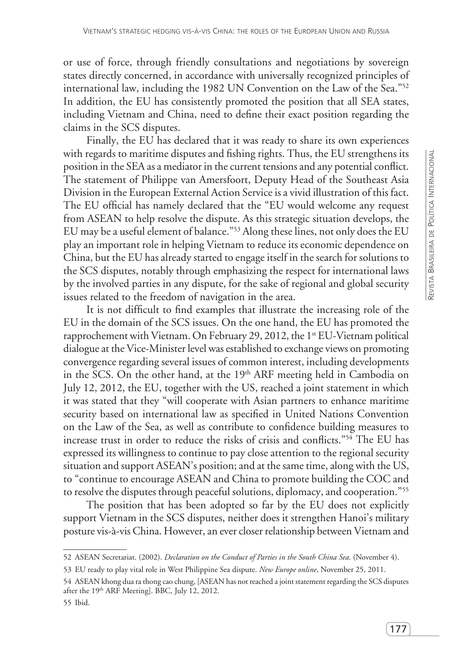or use of force, through friendly consultations and negotiations by sovereign states directly concerned, in accordance with universally recognized principles of international law, including the 1982 UN Convention on the Law of the Sea."52 In addition, the EU has consistently promoted the position that all SEA states, including Vietnam and China, need to define their exact position regarding the claims in the SCS disputes.

Finally, the EU has declared that it was ready to share its own experiences with regards to maritime disputes and fishing rights. Thus, the EU strengthens its position in the SEA as a mediator in the current tensions and any potential conflict. The statement of Philippe van Amersfoort, Deputy Head of the Southeast Asia Division in the European External Action Service is a vivid illustration of this fact. The EU official has namely declared that the "EU would welcome any request from ASEAN to help resolve the dispute. As this strategic situation develops, the EU may be a useful element of balance."53 Along these lines, not only does the EU play an important role in helping Vietnam to reduce its economic dependence on China, but the EU has already started to engage itself in the search for solutions to the SCS disputes, notably through emphasizing the respect for international laws by the involved parties in any dispute, for the sake of regional and global security issues related to the freedom of navigation in the area.

It is not difficult to find examples that illustrate the increasing role of the EU in the domain of the SCS issues. On the one hand, the EU has promoted the rapprochement with Vietnam. On February 29, 2012, the  $1^{\text{st}}$  EU-Vietnam political dialogue at the Vice-Minister level was established to exchange views on promoting convergence regarding several issues of common interest, including developments in the SCS. On the other hand, at the 19<sup>th</sup> ARF meeting held in Cambodia on July 12, 2012, the EU, together with the US, reached a joint statement in which it was stated that they "will cooperate with Asian partners to enhance maritime security based on international law as specified in United Nations Convention on the Law of the Sea, as well as contribute to confidence building measures to increase trust in order to reduce the risks of crisis and conflicts."54 The EU has expressed its willingness to continue to pay close attention to the regional security situation and support ASEAN's position; and at the same time, along with the US, to "continue to encourage ASEAN and China to promote building the COC and to resolve the disputes through peaceful solutions, diplomacy, and cooperation."55

The position that has been adopted so far by the EU does not explicitly support Vietnam in the SCS disputes, neither does it strengthen Hanoi's military posture vis-à-vis China. However, an ever closer relationship between Vietnam and

<sup>52</sup> ASEAN Secretariat. (2002). *Declaration on the Conduct of Parties in the South China Sea*. (November 4).

<sup>53</sup> EU ready to play vital role in West Philippine Sea dispute. *New Europe online*, November 25, 2011.

<sup>54</sup> ASEAN khong dua ra thong cao chung, [ASEAN has not reached a joint statement regarding the SCS disputes after the 19<sup>th</sup> ARF Meeting]. BBC, July 12, 2012.

<sup>55</sup> Ibid.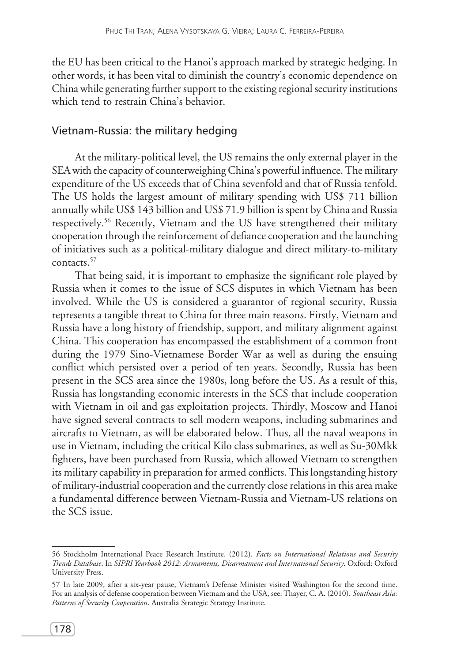the EU has been critical to the Hanoi's approach marked by strategic hedging. In other words, it has been vital to diminish the country's economic dependence on China while generating further support to the existing regional security institutions which tend to restrain China's behavior.

#### Vietnam-Russia: the military hedging

At the military-political level, the US remains the only external player in the SEA with the capacity of counterweighing China's powerful influence. The military expenditure of the US exceeds that of China sevenfold and that of Russia tenfold. The US holds the largest amount of military spending with US\$ 711 billion annually while US\$ 143 billion and US\$ 71.9 billion is spent by China and Russia respectively.56 Recently, Vietnam and the US have strengthened their military cooperation through the reinforcement of defiance cooperation and the launching of initiatives such as a political-military dialogue and direct military-to-military contacts.57

That being said, it is important to emphasize the significant role played by Russia when it comes to the issue of SCS disputes in which Vietnam has been involved. While the US is considered a guarantor of regional security, Russia represents a tangible threat to China for three main reasons. Firstly, Vietnam and Russia have a long history of friendship, support, and military alignment against China. This cooperation has encompassed the establishment of a common front during the 1979 Sino-Vietnamese Border War as well as during the ensuing conflict which persisted over a period of ten years. Secondly, Russia has been present in the SCS area since the 1980s, long before the US. As a result of this, Russia has longstanding economic interests in the SCS that include cooperation with Vietnam in oil and gas exploitation projects. Thirdly, Moscow and Hanoi have signed several contracts to sell modern weapons, including submarines and aircrafts to Vietnam, as will be elaborated below. Thus, all the naval weapons in use in Vietnam, including the critical Kilo class submarines, as well as Su-30Mkk fighters, have been purchased from Russia, which allowed Vietnam to strengthen its military capability in preparation for armed conflicts. This longstanding history of military-industrial cooperation and the currently close relations in this area make a fundamental difference between Vietnam-Russia and Vietnam-US relations on the SCS issue.

<sup>56</sup> Stockholm International Peace Research Institute. (2012). *Facts on International Relations and Security Trends Database*. In *SIPRI Yearbook 2012: Armaments, Disarmament and International Security*. Oxford: Oxford University Press.

<sup>57</sup> In late 2009, after a six-year pause, Vietnam's Defense Minister visited Washington for the second time. For an analysis of defense cooperation between Vietnam and the USA, see: Thayer, C. A. (2010). *Southeast Asia: Patterns of Security Cooperation*. Australia Strategic Strategy Institute.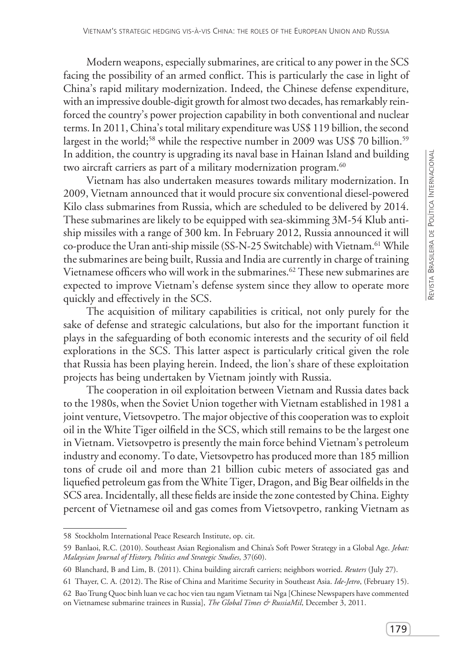Modern weapons, especially submarines, are critical to any power in the SCS facing the possibility of an armed conflict. This is particularly the case in light of China's rapid military modernization. Indeed, the Chinese defense expenditure, with an impressive double-digit growth for almost two decades, has remarkably reinforced the country's power projection capability in both conventional and nuclear terms. In 2011, China's total military expenditure was US\$ 119 billion, the second largest in the world;<sup>58</sup> while the respective number in 2009 was US\$ 70 billion.<sup>59</sup> In addition, the country is upgrading its naval base in Hainan Island and building two aircraft carriers as part of a military modernization program.<sup>60</sup>

Vietnam has also undertaken measures towards military modernization. In 2009, Vietnam announced that it would procure six conventional diesel-powered Kilo class submarines from Russia, which are scheduled to be delivered by 2014. These submarines are likely to be equipped with sea-skimming 3M-54 Klub antiship missiles with a range of 300 km. In February 2012, Russia announced it will co-produce the Uran anti-ship missile (SS-N-25 Switchable) with Vietnam.<sup>61</sup> While the submarines are being built, Russia and India are currently in charge of training Vietnamese officers who will work in the submarines.62 These new submarines are expected to improve Vietnam's defense system since they allow to operate more quickly and effectively in the SCS.

The acquisition of military capabilities is critical, not only purely for the sake of defense and strategic calculations, but also for the important function it plays in the safeguarding of both economic interests and the security of oil field explorations in the SCS. This latter aspect is particularly critical given the role that Russia has been playing herein. Indeed, the lion's share of these exploitation projects has being undertaken by Vietnam jointly with Russia.

The cooperation in oil exploitation between Vietnam and Russia dates back to the 1980s, when the Soviet Union together with Vietnam established in 1981 a joint venture, Vietsovpetro. The major objective of this cooperation was to exploit oil in the White Tiger oilfield in the SCS, which still remains to be the largest one in Vietnam. Vietsovpetro is presently the main force behind Vietnam's petroleum industry and economy. To date, Vietsovpetro has produced more than 185 million tons of crude oil and more than 21 billion cubic meters of associated gas and liquefied petroleum gas from the White Tiger, Dragon, and Big Bear oilfields in the SCS area. Incidentally, all these fields are inside the zone contested by China. Eighty percent of Vietnamese oil and gas comes from Vietsovpetro, ranking Vietnam as

<sup>58</sup> Stockholm International Peace Research Institute, op. cit.

<sup>59</sup> Banlaoi, R.C. (2010). Southeast Asian Regionalism and China's Soft Power Strategy in a Global Age. *Jebat: Malaysian Journal of History, Politics and Strategic Studies*, 37(60).

<sup>60</sup> Blanchard, B and Lim, B. (2011). China building aircraft carriers; neighbors worried. *Reuters* (July 27).

<sup>61</sup> Thayer, C. A. (2012). The Rise of China and Maritime Security in Southeast Asia. *Ide-Jetro*, (February 15).

<sup>62</sup> Bao Trung Quoc binh luan ve cac hoc vien tau ngam Vietnam tai Nga [Chinese Newspapers have commented on Vietnamese submarine trainees in Russia], *The Global Times & RussiaMil*, December 3, 2011.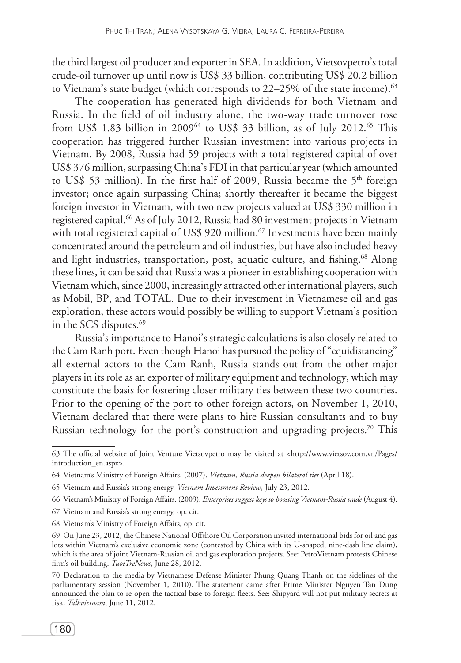the third largest oil producer and exporter in SEA. In addition, Vietsovpetro's total crude-oil turnover up until now is US\$ 33 billion, contributing US\$ 20.2 billion to Vietnam's state budget (which corresponds to 22–25% of the state income).<sup>63</sup>

The cooperation has generated high dividends for both Vietnam and Russia. In the field of oil industry alone, the two-way trade turnover rose from US\$ 1.83 billion in 2009 $^{64}$  to US\$ 33 billion, as of July 2012.<sup>65</sup> This cooperation has triggered further Russian investment into various projects in Vietnam. By 2008, Russia had 59 projects with a total registered capital of over US\$ 376 million, surpassing China's FDI in that particular year (which amounted to US\$ 53 million). In the first half of 2009, Russia became the 5<sup>th</sup> foreign investor; once again surpassing China; shortly thereafter it became the biggest foreign investor in Vietnam, with two new projects valued at US\$ 330 million in registered capital.66 As of July 2012, Russia had 80 investment projects in Vietnam with total registered capital of US\$ 920 million.<sup>67</sup> Investments have been mainly concentrated around the petroleum and oil industries, but have also included heavy and light industries, transportation, post, aquatic culture, and fishing.<sup>68</sup> Along these lines, it can be said that Russia was a pioneer in establishing cooperation with Vietnam which, since 2000, increasingly attracted other international players, such as Mobil, BP, and TOTAL. Due to their investment in Vietnamese oil and gas exploration, these actors would possibly be willing to support Vietnam's position in the SCS disputes.<sup>69</sup>

Russia's importance to Hanoi's strategic calculations is also closely related to the Cam Ranh port. Even though Hanoi has pursued the policy of "equidistancing" all external actors to the Cam Ranh, Russia stands out from the other major players in its role as an exporter of military equipment and technology, which may constitute the basis for fostering closer military ties between these two countries. Prior to the opening of the port to other foreign actors, on November 1, 2010, Vietnam declared that there were plans to hire Russian consultants and to buy Russian technology for the port's construction and upgrading projects.<sup>70</sup> This

<sup>63</sup> The official website of Joint Venture Vietsovpetro may be visited at <http://www.vietsov.com.vn/Pages/ introduction\_en.aspx>.

<sup>64</sup> Vietnam's Ministry of Foreign Affairs. (2007). *Vietnam, Russia deepen bilateral ties* (April 18).

<sup>65</sup> Vietnam and Russia's strong energy. *Vietnam Investment Review*, July 23, 2012.

<sup>66</sup> Vietnam's Ministry of Foreign Affairs. (2009). *Enterprises suggest keys to boosting Vietnam-Russia trade* (August 4).

<sup>67</sup> Vietnam and Russia's strong energy, op. cit.

<sup>68</sup> Vietnam's Ministry of Foreign Affairs, op. cit.

<sup>69</sup> On June 23, 2012, the Chinese National Offshore Oil Corporation invited international bids for oil and gas lots within Vietnam's exclusive economic zone (contested by China with its U-shaped, nine-dash line claim), which is the area of joint Vietnam-Russian oil and gas exploration projects. See: PetroVietnam protests Chinese firm's oil building. *TuoiTreNews*, June 28, 2012.

<sup>70</sup> Declaration to the media by Vietnamese Defense Minister Phung Quang Thanh on the sidelines of the parliamentary session (November 1, 2010). The statement came after Prime Minister Nguyen Tan Dung announced the plan to re-open the tactical base to foreign fleets. See: Shipyard will not put military secrets at risk. *Talkvietnam*, June 11, 2012.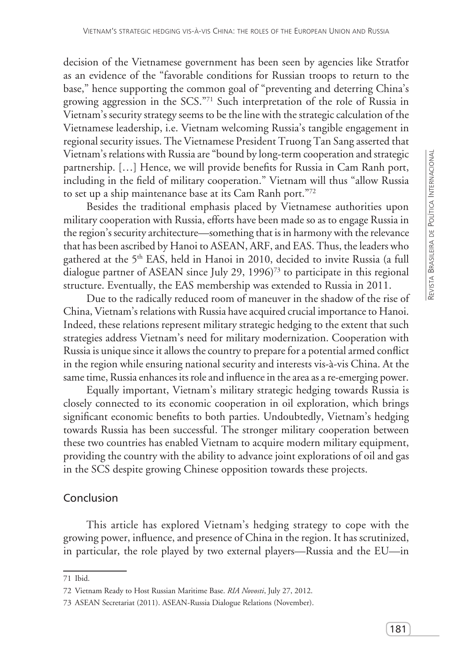decision of the Vietnamese government has been seen by agencies like Stratfor as an evidence of the "favorable conditions for Russian troops to return to the base," hence supporting the common goal of "preventing and deterring China's growing aggression in the SCS."71 Such interpretation of the role of Russia in Vietnam's security strategy seems to be the line with the strategic calculation of the Vietnamese leadership, i.e. Vietnam welcoming Russia's tangible engagement in regional security issues. The Vietnamese President Truong Tan Sang asserted that Vietnam's relations with Russia are "bound by long-term cooperation and strategic partnership. […] Hence, we will provide benefits for Russia in Cam Ranh port, including in the field of military cooperation." Vietnam will thus "allow Russia to set up a ship maintenance base at its Cam Ranh port."72

Besides the traditional emphasis placed by Vietnamese authorities upon military cooperation with Russia, efforts have been made so as to engage Russia in the region's security architecture—something that is in harmony with the relevance that has been ascribed by Hanoi to ASEAN, ARF, and EAS. Thus, the leaders who gathered at the 5<sup>th</sup> EAS, held in Hanoi in 2010, decided to invite Russia (a full dialogue partner of ASEAN since July 29, 1996)<sup>73</sup> to participate in this regional structure. Eventually, the EAS membership was extended to Russia in 2011.

Due to the radically reduced room of maneuver in the shadow of the rise of China, Vietnam's relations with Russia have acquired crucial importance to Hanoi. Indeed, these relations represent military strategic hedging to the extent that such strategies address Vietnam's need for military modernization. Cooperation with Russia is unique since it allows the country to prepare for a potential armed conflict in the region while ensuring national security and interests vis-à-vis China. At the same time, Russia enhances its role and influence in the area as a re-emerging power.

Equally important, Vietnam's military strategic hedging towards Russia is closely connected to its economic cooperation in oil exploration, which brings significant economic benefits to both parties. Undoubtedly, Vietnam's hedging towards Russia has been successful. The stronger military cooperation between these two countries has enabled Vietnam to acquire modern military equipment, providing the country with the ability to advance joint explorations of oil and gas in the SCS despite growing Chinese opposition towards these projects.

### Conclusion

This article has explored Vietnam's hedging strategy to cope with the growing power, influence, and presence of China in the region. It has scrutinized, in particular, the role played by two external players—Russia and the EU—in

<sup>71</sup> Ibid.

<sup>72</sup> Vietnam Ready to Host Russian Maritime Base. *RIA Novosti*, July 27, 2012.

<sup>73</sup> ASEAN Secretariat (2011). ASEAN-Russia Dialogue Relations (November).